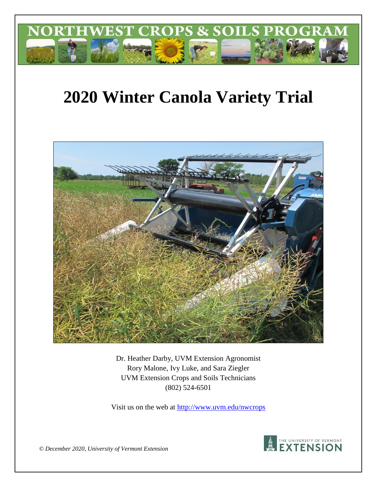

# **2020 Winter Canola Variety Trial**



Dr. Heather Darby, UVM Extension Agronomist Rory Malone, Ivy Luke, and Sara Ziegler UVM Extension Crops and Soils Technicians (802) 524-6501

Visit us on the web at<http://www.uvm.edu/nwcrops>



*© December 2020, University of Vermont Extension*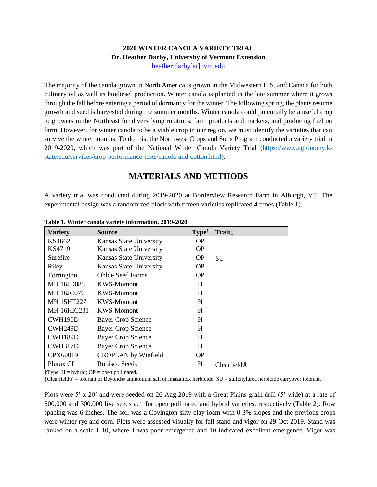#### **2020 WINTER CANOLA VARIETY TRIAL Dr. Heather Darby, University of Vermont Extension** [heather.darby\[at\]uvm.edu](mailto:heather.darby@uvm.edu?subject=2013%20Sunflower%20Reduced%20Tillage%20Trial)

The majority of the canola grown in North America is grown in the Midwestern U.S. and Canada for both culinary oil as well as biodiesel production. Winter canola is planted in the late summer where it grows through the fall before entering a period of dormancy for the winter. The following spring, the plants resume growth and seed is harvested during the summer months. Winter canola could potentially be a useful crop to growers in the Northeast for diversifying rotations, farm products and markets, and producing fuel on farm. However, for winter canola to be a viable crop in our region, we must identify the varieties that can survive the winter months. To do this, the Northwest Crops and Soils Program conducted a variety trial in 2019-2020, which was part of the National Winter Canola Variety Trial [\(https://www.agronomy.k](https://www.agronomy.k-state.edu/services/crop-performance-tests/canola-and-cotton.html)[state.edu/services/crop-performance-tests/canola-and-cotton.html\)](https://www.agronomy.k-state.edu/services/crop-performance-tests/canola-and-cotton.html).

## **MATERIALS AND METHODS**

A variety trial was conducted during 2019-2020 at Borderview Research Farm in Alburgh, VT. The experimental design was a randomized block with fifteen varieties replicated 4 times (Table 1).

| <b>Variety</b>     | <b>Source</b>              | Type <sup>†</sup> | Trait <sup>:</sup>      |
|--------------------|----------------------------|-------------------|-------------------------|
| KS4662             | Kansas State University    | OΡ                |                         |
| KS4719             | Kansas State University    | <b>OP</b>         |                         |
| Surefire           | Kansas State University    | <b>OP</b>         | <b>SU</b>               |
| Riley              | Kansas State University    | <b>OP</b>         |                         |
| Torrington         | <b>Ohlde Seed Farms</b>    | <b>OP</b>         |                         |
| MH 16JD085         | KWS-Momont                 | H                 |                         |
| MH 16JC076         | KWS-Momont                 | H                 |                         |
| <b>MH 15HT227</b>  | KWS-Momont                 | H                 |                         |
| <b>MH 16HIC231</b> | KWS-Momont                 | H                 |                         |
| CWH190D            | <b>Bayer Crop Science</b>  | H                 |                         |
| CWH249D            | <b>Bayer Crop Science</b>  | H                 |                         |
| CWH189D            | <b>Bayer Crop Science</b>  | H                 |                         |
| CWH317D            | <b>Bayer Crop Science</b>  | H                 |                         |
| CPX60019           | <b>CROPLAN</b> by Winfield | <b>OP</b>         |                         |
| Plurax CL          | Rubisco Seeds              | H                 | Clearfield <sup>®</sup> |

**Table 1. Winter canola variety information, 2019-2020.**

 $\dagger$ Type: H = hybrid; OP = open pollinated.

‡Clearfield® = tolerant of Beyond® ammonium salt of imazamox herbicide; SU = sulfonylurea herbicide carryover tolerant.

Plots were 5' x 20' and were seeded on 26-Aug 2019 with a Great Plains grain drill (5' wide) at a rate of 500,000 and 300,000 live seeds ac<sup>-1</sup> for open pollinated and hybrid varieties, respectively (Table 2). Row spacing was 6 inches. The soil was a Covington silty clay loam with 0-3% slopes and the previous crops were winter rye and corn. Plots were assessed visually for fall stand and vigor on 29-Oct 2019. Stand was ranked on a scale 1-10, where 1 was poor emergence and 10 indicated excellent emergence. Vigor was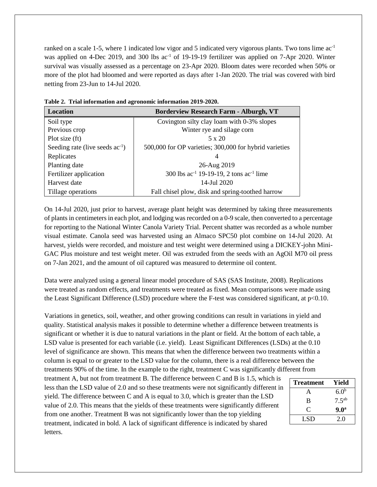ranked on a scale 1-5, where 1 indicated low vigor and 5 indicated very vigorous plants. Two tons lime  $ac^{-1}$ was applied on 4-Dec 2019, and 300 lbs ac<sup>-1</sup> of 19-19-19 fertilizer was applied on 7-Apr 2020. Winter survival was visually assessed as a percentage on 23-Apr 2020. Bloom dates were recorded when 50% or more of the plot had bloomed and were reported as days after 1-Jan 2020. The trial was covered with bird netting from 23-Jun to 14-Jul 2020.

| Location                             | <b>Borderview Research Farm - Alburgh, VT</b>          |  |  |  |  |
|--------------------------------------|--------------------------------------------------------|--|--|--|--|
| Soil type                            | Covington silty clay loam with 0-3% slopes             |  |  |  |  |
| Previous crop                        | Winter rye and silage corn                             |  |  |  |  |
| Plot size (ft)                       | $5 \times 20$                                          |  |  |  |  |
| Seeding rate (live seeds $ac^{-1}$ ) | 500,000 for OP varieties; 300,000 for hybrid varieties |  |  |  |  |
| Replicates                           | 4                                                      |  |  |  |  |
| Planting date                        | 26-Aug 2019                                            |  |  |  |  |
| Fertilizer application               | 300 lbs $ac^{-1}$ 19-19-19, 2 tons $ac^{-1}$ lime      |  |  |  |  |
| Harvest date                         | 14-Jul 2020                                            |  |  |  |  |
| Tillage operations                   | Fall chisel plow, disk and spring-toothed harrow       |  |  |  |  |

**Table 2. Trial information and agronomic information 2019-2020.**

On 14-Jul 2020, just prior to harvest, average plant height was determined by taking three measurements of plants in centimeters in each plot, and lodging was recorded on a 0-9 scale, then converted to a percentage for reporting to the National Winter Canola Variety Trial. Percent shatter was recorded as a whole number visual estimate. Canola seed was harvested using an Almaco SPC50 plot combine on 14-Jul 2020. At harvest, yields were recorded, and moisture and test weight were determined using a DICKEY-john Mini-GAC Plus moisture and test weight meter. Oil was extruded from the seeds with an AgOil M70 oil press on 7-Jan 2021, and the amount of oil captured was measured to determine oil content.

Data were analyzed using a general linear model procedure of SAS (SAS Institute, 2008). Replications were treated as random effects, and treatments were treated as fixed. Mean comparisons were made using the Least Significant Difference (LSD) procedure where the F-test was considered significant, at p<0.10.

Variations in genetics, soil, weather, and other growing conditions can result in variations in yield and quality. Statistical analysis makes it possible to determine whether a difference between treatments is significant or whether it is due to natural variations in the plant or field. At the bottom of each table, a LSD value is presented for each variable (i.e. yield). Least Significant Differences (LSDs) at the 0.10 level of significance are shown. This means that when the difference between two treatments within a column is equal to or greater to the LSD value for the column, there is a real difference between the treatments 90% of the time. In the example to the right, treatment C was significantly different from

treatment A, but not from treatment B. The difference between C and B is 1.5, which is less than the LSD value of 2.0 and so these treatments were not significantly different in yield. The difference between C and A is equal to 3.0, which is greater than the LSD value of 2.0. This means that the yields of these treatments were significantly different from one another. Treatment B was not significantly lower than the top yielding treatment, indicated in bold. A lack of significant difference is indicated by shared letters.

| <b>Treatment</b> | Yield             |
|------------------|-------------------|
| А                | 6.0 <sup>b</sup>  |
| B                | 7.5 <sup>ab</sup> |
| C                | 9.0 <sup>a</sup>  |
| LSD              | 2.0               |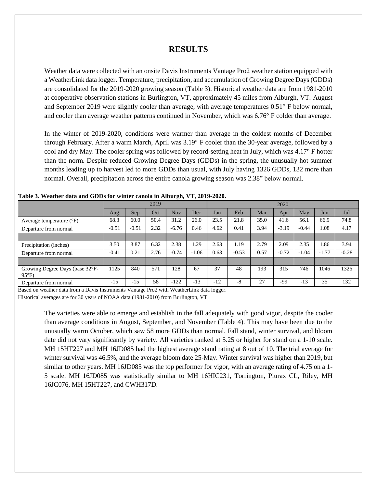### **RESULTS**

Weather data were collected with an onsite Davis Instruments Vantage Pro2 weather station equipped with a WeatherLink data logger. Temperature, precipitation, and accumulation of Growing Degree Days (GDDs) are consolidated for the 2019-2020 growing season (Table 3). Historical weather data are from 1981-2010 at cooperative observation stations in Burlington, VT, approximately 45 miles from Alburgh, VT. August and September 2019 were slightly cooler than average, with average temperatures 0.51° F below normal, and cooler than average weather patterns continued in November, which was 6.76° F colder than average.

In the winter of 2019-2020, conditions were warmer than average in the coldest months of December through February. After a warm March, April was 3.19° F cooler than the 30-year average, followed by a cool and dry May. The cooler spring was followed by record-setting heat in July, which was 4.17° F hotter than the norm. Despite reduced Growing Degree Days (GDDs) in the spring, the unusually hot summer months leading up to harvest led to more GDDs than usual, with July having 1326 GDDs, 132 more than normal. Overall, precipitation across the entire canola growing season was 2.38" below normal.

|                                                  | 2019    |         |      |         | 2020    |       |         |      |         |         |         |         |
|--------------------------------------------------|---------|---------|------|---------|---------|-------|---------|------|---------|---------|---------|---------|
|                                                  | Aug     | Sep     | Oct  | Nov     | Dec     | Jan   | Feb     | Mar  | Apr     | May     | Jun     | Jul     |
| Average temperature $(^{\circ}F)$                | 68.3    | 60.0    | 50.4 | 31.2    | 26.0    | 23.5  | 21.8    | 35.0 | 41.6    | 56.1    | 66.9    | 74.8    |
| Departure from normal                            | $-0.51$ | $-0.51$ | 2.32 | $-6.76$ | 0.46    | 4.62  | 0.41    | 3.94 | $-3.19$ | $-0.44$ | 1.08    | 4.17    |
|                                                  |         |         |      |         |         |       |         |      |         |         |         |         |
| Precipitation (inches)                           | 3.50    | 3.87    | 6.32 | 2.38    | .29     | 2.63  | 1.19    | 2.79 | 2.09    | 2.35    | .86     | 3.94    |
| Departure from normal                            | $-0.41$ | 0.21    | 2.76 | $-0.74$ | $-1.06$ | 0.63  | $-0.53$ | 0.57 | $-0.72$ | $-1.04$ | $-1.77$ | $-0.28$ |
|                                                  |         |         |      |         |         |       |         |      |         |         |         |         |
| Growing Degree Days (base 32°F-<br>$95^{\circ}F$ | 1125    | 840     | 571  | 128     | 67      | 37    | 48      | 193  | 315     | 746     | 1046    | 1326    |
| Departure from normal                            | $-15$   | $-15$   | 58   | $-122$  | $-13$   | $-12$ | -8      | 27   | -99     | $-13$   | 35      | 132     |

**Table 3. Weather data and GDDs for winter canola in Alburgh, VT, 2019-2020.**

Based on weather data from a Davis Instruments Vantage Pro2 with WeatherLink data logger.

Historical averages are for 30 years of NOAA data (1981-2010) from Burlington, VT.

The varieties were able to emerge and establish in the fall adequately with good vigor, despite the cooler than average conditions in August, September, and November (Table 4). This may have been due to the unusually warm October, which saw 58 more GDDs than normal. Fall stand, winter survival, and bloom date did not vary significantly by variety. All varieties ranked at 5.25 or higher for stand on a 1-10 scale. MH 15HT227 and MH 16JD085 had the highest average stand rating at 8 out of 10. The trial average for winter survival was 46.5%, and the average bloom date 25-May. Winter survival was higher than 2019, but similar to other years. MH 16JD085 was the top performer for vigor, with an average rating of 4.75 on a 1- 5 scale. MH 16JD085 was statistically similar to MH 16HIC231, Torrington, Plurax CL, Riley, MH 16JC076, MH 15HT227, and CWH317D.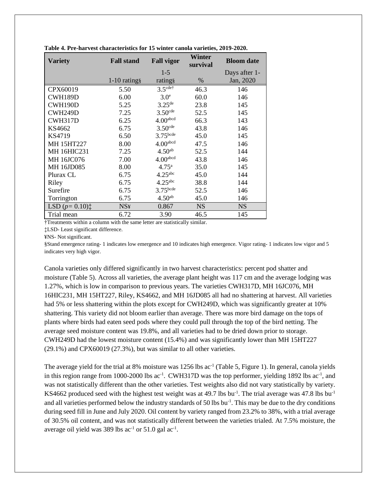| <b>Variety</b>                                 | <b>Fall stand</b> | <b>Fall vigor</b>     | Winter<br>survival | <b>Bloom</b> date |
|------------------------------------------------|-------------------|-----------------------|--------------------|-------------------|
|                                                |                   | $1-5$                 |                    | Days after 1-     |
|                                                | $1-10$ ratings    | rating§               | $\%$               | Jan, 2020         |
| CPX60019                                       | 5.50              | $3.5$ cdet            | 46.3               | 146               |
| CWH189D                                        | 6.00              | 3.0 <sup>e</sup>      | 60.0               | 146               |
| CWH190D                                        | 5.25              | $3.25$ <sup>de</sup>  | 23.8               | 145               |
| CWH249D                                        | 7.25              | $3.50$ <sup>cde</sup> | 52.5               | 145               |
| CWH317D                                        | 6.25              | 4.00 <sup>abcd</sup>  | 66.3               | 143               |
| KS4662                                         | 6.75              | $3.50$ <sup>cde</sup> | 43.8               | 146               |
| KS4719                                         | 6.50              | 3.75 <sup>bcde</sup>  | 45.0               | 145               |
| <b>MH 15HT227</b>                              | 8.00              | 4.00 <sup>abcd</sup>  | 47.5               | 146               |
| <b>MH 16HIC231</b>                             | 7.25              | 4.50 <sup>ab</sup>    | 52.5               | 144               |
| MH 16JC076                                     | 7.00              | 4.00 <sup>abcd</sup>  | 43.8               | 146               |
| MH 16JD085                                     | 8.00              | $4.75^{\rm a}$        | 35.0               | 145               |
| Plurax CL                                      | 6.75              | 4.25 <sup>abc</sup>   | 45.0               | 144               |
| Riley                                          | 6.75              | $4.25$ <sup>abc</sup> | 38.8               | 144               |
| Surefire                                       | 6.75              | $3.75$ bcde           | 52.5               | 146               |
| Torrington                                     | 6.75              | 4.50 <sup>ab</sup>    | 45.0               | 146               |
| LSD $(p=0.10)$ <sup><math>\dagger</math></sup> | <b>NS¥</b>        | 0.867                 | <b>NS</b>          | <b>NS</b>         |
| Trial mean                                     | 6.72              | 3.90                  | 46.5               | 145               |

**Table 4. Pre-harvest characteristics for 15 winter canola varieties, 2019-2020.**

†Treatments within a column with the same letter are statistically similar.

‡LSD- Least significant difference.

¥NS- Not significant.

§Stand emergence rating- 1 indicates low emergence and 10 indicates high emergence. Vigor rating- 1 indicates low vigor and 5 indicates very high vigor.

Canola varieties only differed significantly in two harvest characteristics: percent pod shatter and moisture (Table 5). Across all varieties, the average plant height was 117 cm and the average lodging was 1.27%, which is low in comparison to previous years. The varieties CWH317D, MH 16JC076, MH 16HIC231, MH 15HT227, Riley, KS4662, and MH 16JD085 all had no shattering at harvest. All varieties had 5% or less shattering within the plots except for CWH249D, which was significantly greater at 10% shattering. This variety did not bloom earlier than average. There was more bird damage on the tops of plants where birds had eaten seed pods where they could pull through the top of the bird netting. The average seed moisture content was 19.8%, and all varieties had to be dried down prior to storage. CWH249D had the lowest moisture content (15.4%) and was significantly lower than MH 15HT227 (29.1%) and CPX60019 (27.3%), but was similar to all other varieties.

The average yield for the trial at 8% moisture was  $1256$  lbs ac<sup>-1</sup> (Table 5, Figure 1). In general, canola yields in this region range from 1000-2000 lbs ac<sup>-1</sup>. CWH317D was the top performer, yielding 1892 lbs ac<sup>-1</sup>, and was not statistically different than the other varieties. Test weights also did not vary statistically by variety. KS4662 produced seed with the highest test weight was at 49.7 lbs bu<sup>-1</sup>. The trial average was 47.8 lbs bu<sup>-1</sup> and all varieties performed below the industry standards of 50 lbs bu<sup>-1</sup>. This may be due to the dry conditions during seed fill in June and July 2020. Oil content by variety ranged from 23.2% to 38%, with a trial average of 30.5% oil content, and was not statistically different between the varieties trialed. At 7.5% moisture, the average oil yield was  $389$  lbs ac<sup>-1</sup> or  $51.0$  gal ac<sup>-1</sup>.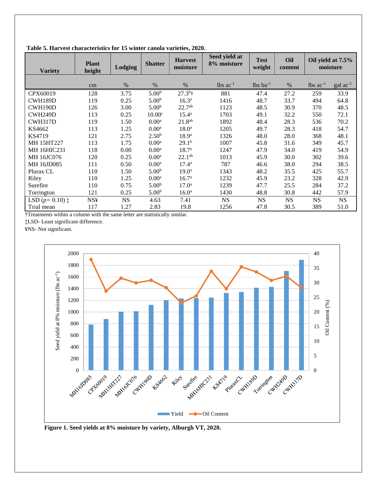| <b>Variety</b>            | <b>Plant</b><br>height | Lodging   | <b>Shatter</b>     | <b>Harvest</b><br>moisture | Seed yield at<br>8% moisture | <b>Test</b><br>weight  | Oil<br>content | Oil yield at 7.5%<br>moisture |                   |  |
|---------------------------|------------------------|-----------|--------------------|----------------------------|------------------------------|------------------------|----------------|-------------------------------|-------------------|--|
|                           | cm                     | %         | $\%$               | $\%$                       | $lbs$ ac <sup>-1</sup>       | $lbs$ bu <sup>-1</sup> | $\%$           | $lbs$ ac <sup>-1</sup>        | $\rm gal~ac^{-1}$ |  |
| CPX60019                  | 128                    | 3.75      | 5.00 <sup>b</sup>  | $27.3^{b}$ †               | 881                          | 47.4                   | 27.2           | 259                           | 33.9              |  |
| CWH189D                   | 119                    | 0.25      | 5.00 <sup>b</sup>  | $16.3^{\rm a}$             | 1416                         | 48.7                   | 33.7           | 494                           | 64.8              |  |
| CWH190D                   | 126                    | 3.00      | 5.00 <sup>b</sup>  | $22.7^{ab}$                | 1123                         | 48.5                   | 30.9           | 370                           | 48.5              |  |
| CWH249D                   | 113                    | 0.25      | 10.00 <sup>c</sup> | $15.4^{\rm a}$             | 1703                         | 49.1                   | 32.2           | 550                           | 72.1              |  |
| CWH317D                   | 119                    | 1.50      | 0.00 <sup>a</sup>  | $21.8^{ab}$                | 1892                         | 48.4                   | 28.3           | 536                           | 70.2              |  |
| KS4662                    | 113                    | 1.25      | 0.00 <sup>a</sup>  | 18.0 <sup>a</sup>          | 1205                         | 49.7                   | 28.3           | 418                           | 54.7              |  |
| KS4719                    | 121                    | 2.75      | 2.50 <sup>b</sup>  | $18.9^{\rm a}$             | 1326                         | 48.0                   | 28.0           | 368                           | 48.1              |  |
| MH 15HT227                | 113                    | 1.75      | 0.00 <sup>a</sup>  | 29.1 <sup>b</sup>          | 1007                         | 45.8                   | 31.6           | 349                           | 45.7              |  |
| MH 16HIC231               | 118                    | 0.00      | 0.00 <sup>a</sup>  | 18.7 <sup>a</sup>          | 1247                         | 47.9                   | 34.0           | 419                           | 54.9              |  |
| <b>MH16JC076</b>          | 120                    | 0.25      | 0.00 <sup>a</sup>  | $22.1^{ab}$                | 1013                         | 45.9                   | 30.0           | 302                           | 39.6              |  |
| <b>MH16JD085</b>          | 111                    | 0.50      | 0.00 <sup>a</sup>  | $17.4^{\rm a}$             | 787                          | 46.6                   | 38.0           | 294                           | 38.5              |  |
| Plurax CL                 | 110                    | 1.50      | 5.00 <sup>b</sup>  | 19.0 <sup>a</sup>          | 1343                         | 48.2                   | 35.5           | 425                           | 55.7              |  |
| Riley                     | 110                    | 1.25      | 0.00 <sup>a</sup>  | 16.7 <sup>a</sup>          | 1232                         | 45.9                   | 23.2           | 328                           | 42.9              |  |
| Surefire                  | 110                    | 0.75      | 5.00 <sup>b</sup>  | $17.0^{\rm a}$             | 1239                         | 47.7                   | 25.5           | 284                           | 37.2              |  |
| Torrington                | 121                    | 0.25      | 5.00 <sup>b</sup>  | 16.0 <sup>a</sup>          | 1430                         | 48.8                   | 30.8           | 442                           | 57.9              |  |
| LSD $(p=0.10)$ $\ddagger$ | <b>NS¥</b>             | <b>NS</b> | 4.63               | 7.41                       | <b>NS</b>                    | $_{\rm NS}$            | <b>NS</b>      | <b>NS</b>                     | NS                |  |
| Trial mean                | 117                    | 1.27      | 2.83               | 19.8                       | 1256                         | 47.8                   | 30.5           | 389                           | 51.0              |  |

**Table 5. Harvest characteristics for 15 winter canola varieties, 2020.** 

†Treatments within a column with the same letter are statistically similar.

‡LSD- Least significant difference.

¥NS- Not significant.



**Figure 1. Seed yields at 8% moisture by variety, Alburgh VT, 2020.**